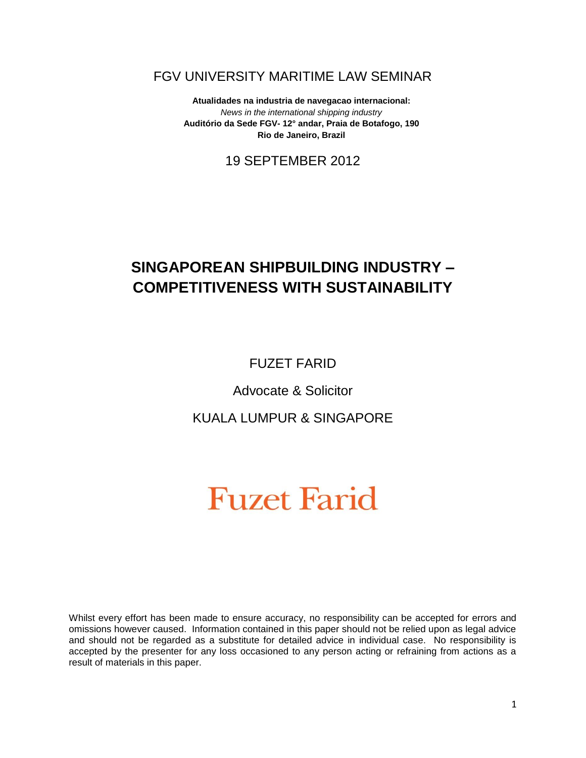### FGV UNIVERSITY MARITIME LAW SEMINAR

**Atualidades na industria de navegacao internacional:** *News in the international shipping industry* **Auditório da Sede FGV- 12° andar, Praia de Botafogo, 190 Rio de Janeiro, Brazil**

## 19 SEPTEMBER 2012

# **SINGAPOREAN SHIPBUILDING INDUSTRY – COMPETITIVENESS WITH SUSTAINABILITY**

FUZET FARID

Advocate & Solicitor

KUALA LUMPUR & SINGAPORE

# **Fuzet Farid**

Whilst every effort has been made to ensure accuracy, no responsibility can be accepted for errors and omissions however caused. Information contained in this paper should not be relied upon as legal advice and should not be regarded as a substitute for detailed advice in individual case. No responsibility is accepted by the presenter for any loss occasioned to any person acting or refraining from actions as a result of materials in this paper.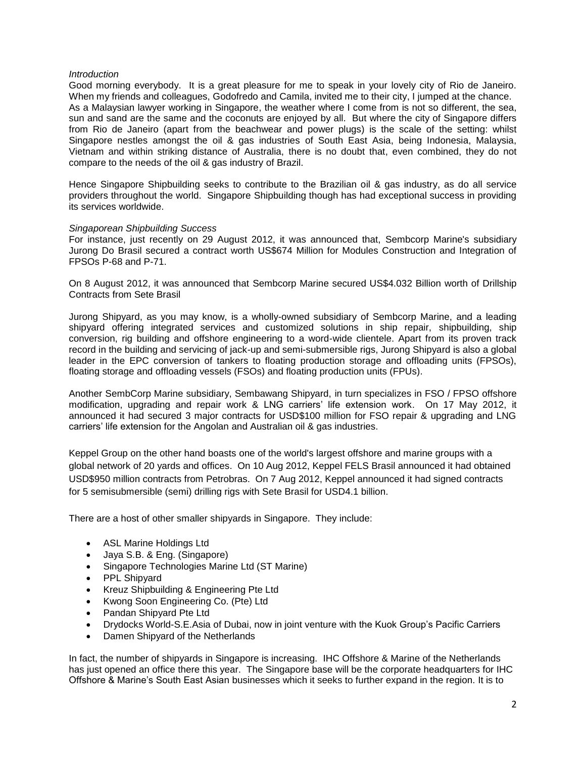#### *Introduction*

Good morning everybody. It is a great pleasure for me to speak in your lovely city of Rio de Janeiro. When my friends and colleagues, Godofredo and Camila, invited me to their city, I jumped at the chance. As a Malaysian lawyer working in Singapore, the weather where I come from is not so different, the sea, sun and sand are the same and the coconuts are enjoyed by all. But where the city of Singapore differs from Rio de Janeiro (apart from the beachwear and power plugs) is the scale of the setting: whilst Singapore nestles amongst the oil & gas industries of South East Asia, being Indonesia, Malaysia, Vietnam and within striking distance of Australia, there is no doubt that, even combined, they do not compare to the needs of the oil & gas industry of Brazil.

Hence Singapore Shipbuilding seeks to contribute to the Brazilian oil & gas industry, as do all service providers throughout the world. Singapore Shipbuilding though has had exceptional success in providing its services worldwide.

#### *Singaporean Shipbuilding Success*

For instance, just recently on 29 August 2012, it was announced that, Sembcorp Marine's subsidiary Jurong Do Brasil secured a contract worth US\$674 Million for Modules Construction and Integration of FPSOs P-68 and P-71.

On 8 August 2012, it was announced that Sembcorp Marine secured US\$4.032 Billion worth of Drillship Contracts from Sete Brasil

Jurong Shipyard, as you may know, is a wholly-owned subsidiary of Sembcorp Marine, and a leading shipyard offering integrated services and customized solutions in ship repair, shipbuilding, ship conversion, rig building and offshore engineering to a word-wide clientele. Apart from its proven track record in the building and servicing of jack-up and semi-submersible rigs, Jurong Shipyard is also a global leader in the EPC conversion of tankers to floating production storage and offloading units (FPSOs), floating storage and offloading vessels (FSOs) and floating production units (FPUs).

Another SembCorp Marine subsidiary, Sembawang Shipyard, in turn specializes in FSO / FPSO offshore modification, upgrading and repair work & LNG carriers' life extension work. On 17 May 2012, it announced it had secured 3 major contracts for USD\$100 million for FSO repair & upgrading and LNG carriers' life extension for the Angolan and Australian oil & gas industries.

Keppel Group on the other hand boasts one of the world's largest offshore and marine groups with a global network of 20 yards and offices. On 10 Aug 2012, Keppel FELS Brasil announced it had obtained USD\$950 million contracts from Petrobras. On 7 Aug 2012, Keppel announced it had signed contracts for 5 semisubmersible (semi) drilling rigs with Sete Brasil for USD4.1 billion.

There are a host of other smaller shipyards in Singapore. They include:

- ASL Marine Holdings Ltd
- Jaya S.B. & Eng. (Singapore)
- Singapore Technologies Marine Ltd (ST Marine)
- PPL Shipyard
- Kreuz Shipbuilding & Engineering Pte Ltd
- Kwong Soon Engineering Co. (Pte) Ltd
- Pandan Shipyard Pte Ltd
- Drydocks World-S.E.Asia of Dubai, now in joint venture with the Kuok Group's Pacific Carriers
- Damen Shipyard of the Netherlands

In fact, the number of shipyards in Singapore is increasing. IHC Offshore & Marine of the Netherlands has just opened an office there this year. The Singapore base will be the corporate headquarters for IHC Offshore & Marine's South East Asian businesses which it seeks to further expand in the region. It is to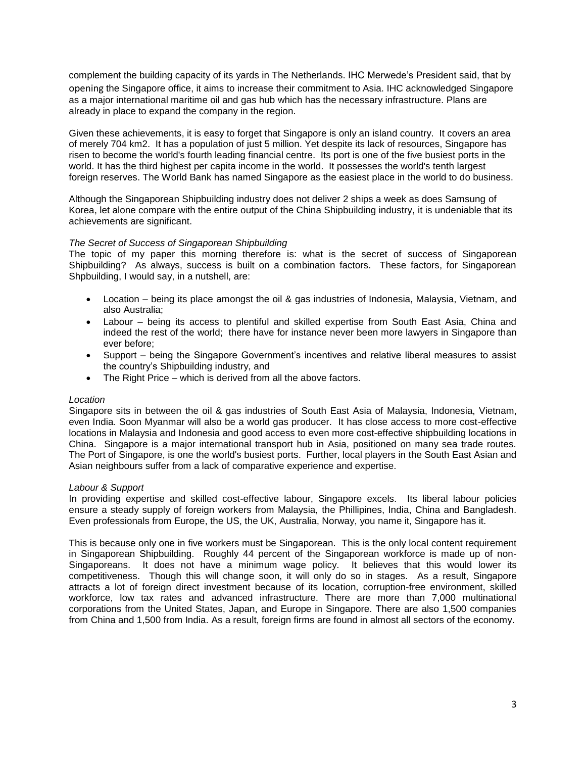complement the building capacity of its yards in The Netherlands. IHC Merwede's President said, that by opening the Singapore office, it aims to increase their commitment to Asia. IHC acknowledged Singapore as a major international maritime oil and gas hub which has the necessary infrastructure. Plans are already in place to expand the company in the region.

Given these achievements, it is easy to forget that Singapore is only an island country. It covers an area of merely 704 km2. It has a population of just 5 million. Yet despite its lack of resources, Singapore has risen to become the world's fourth leading [financial centre.](http://en.wikipedia.org/wiki/Financial_centre) Its [port](http://en.wikipedia.org/wiki/Port_of_Singapore) is one of the five [busiest ports in the](http://en.wikipedia.org/wiki/World%27s_busiest_port)  [world.](http://en.wikipedia.org/wiki/World%27s_busiest_port) It has the [third highest per capita income](http://en.wikipedia.org/wiki/List_of_countries_by_GDP_(PPP)_per_capita) in the world. It possesses the world's tenth [largest](http://en.wikipedia.org/wiki/List_of_countries_by_foreign_exchange_reserves)  [foreign reserves.](http://en.wikipedia.org/wiki/List_of_countries_by_foreign_exchange_reserves) The [World Bank](http://en.wikipedia.org/wiki/World_Bank) has named Singapore as the easiest place in the world to do business.

Although the Singaporean Shipbuilding industry does not deliver 2 ships a week as does Samsung of Korea, let alone compare with the entire output of the China Shipbuilding industry, it is undeniable that its achievements are significant.

#### *The Secret of Success of Singaporean Shipbuilding*

The topic of my paper this morning therefore is: what is the secret of success of Singaporean Shipbuilding? As always, success is built on a combination factors. These factors, for Singaporean Shpbuilding, I would say, in a nutshell, are:

- Location being its place amongst the oil & gas industries of Indonesia, Malaysia, Vietnam, and also Australia;
- Labour being its access to plentiful and skilled expertise from South East Asia, China and indeed the rest of the world; there have for instance never been more lawyers in Singapore than ever before;
- Support being the Singapore Government's incentives and relative liberal measures to assist the country's Shipbuilding industry, and
- The Right Price which is derived from all the above factors.

#### *Location*

Singapore sits in between the oil & gas industries of South East Asia of Malaysia, Indonesia, Vietnam, even India. Soon Myanmar will also be a world gas producer. It has close access to more cost-effective locations in Malaysia and Indonesia and good access to even more cost-effective shipbuilding locations in China. Singapore is a major international transport hub in Asia, positioned on many sea trade routes. The [Port of Singapore,](http://en.wikipedia.org/wiki/Port_of_Singapore) is one the world's busiest ports. Further, local players in the South East Asian and Asian neighbours suffer from a lack of comparative experience and expertise.

#### *Labour & Support*

In providing expertise and skilled cost-effective labour, Singapore excels. Its liberal labour policies ensure a steady supply of foreign workers from Malaysia, the Phillipines, India, China and Bangladesh. Even professionals from Europe, the US, the UK, Australia, Norway, you name it, Singapore has it.

This is because only one in five workers must be Singaporean. This is the only local content requirement in Singaporean Shipbuilding. Roughly 44 percent of the Singaporean workforce is made up of non-Singaporeans. It does not have a [minimum wage](http://en.wikipedia.org/wiki/Minimum_wage) policy. It believes that this would lower its competitiveness. Though this will change soon, it will only do so in stages. As a result, Singapore attracts a lot of foreign direct investment because of its location, corruption-free environment, skilled workforce, low tax rates and advanced infrastructure. There are more than 7,000 multinational corporations from the United States, Japan, and Europe in Singapore. There are also 1,500 companies from China and 1,500 from India. As a result, foreign firms are found in almost all sectors of the economy.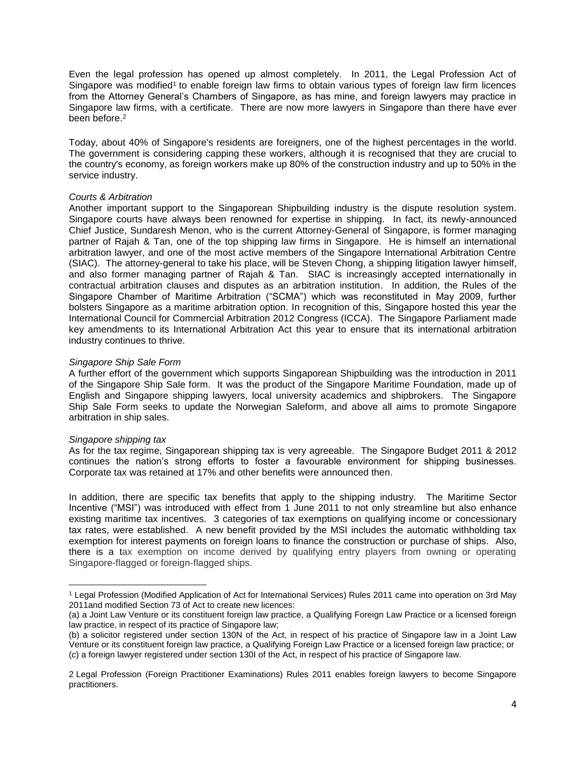Even the legal profession has opened up almost completely. In 2011, the Legal Profession Act of Singapore was modified<sup>1</sup> to enable foreign law firms to obtain various types of foreign law firm licences from the Attorney General's Chambers of Singapore, as has mine, and foreign lawyers may practice in Singapore law firms, with a certificate. There are now more lawyers in Singapore than there have ever been before. 2

Today, about 40% of Singapore's residents are foreigners, [one of the highest percentages](http://en.wikipedia.org/wiki/List_of_countries_by_foreign-born_population_in_2005) in the world. The government is considering capping these workers, although it is recognised that they are crucial to the country's economy, as foreign workers make up 80% of the construction industry and up to 50% in the service industry.

#### *Courts & Arbitration*

Another important support to the Singaporean Shipbuilding industry is the dispute resolution system. Singapore courts have always been renowned for expertise in shipping. In fact, its newly-announced Chief Justice, Sundaresh Menon, who is the current Attorney-General of Singapore, is former managing partner of Rajah & Tan, one of the top shipping law firms in Singapore. He is himself an international arbitration lawyer, and one of the most active members of the Singapore International Arbitration Centre (SIAC). The attorney-general to take his place, will be Steven Chong, a shipping litigation lawyer himself, and also former managing partner of Rajah & Tan. SIAC is increasingly accepted internationally in contractual arbitration clauses and disputes as an arbitration institution. In addition, the Rules of the Singapore Chamber of Maritime Arbitration ("SCMA") which was reconstituted in May 2009, further bolsters Singapore as a maritime arbitration option. In recognition of this, Singapore hosted this year the International Council for Commercial Arbitration 2012 Congress (ICCA). The Singapore Parliament made key amendments to its International Arbitration Act this year to ensure that its international arbitration industry continues to thrive.

#### *Singapore Ship Sale Form*

A further effort of the government which supports Singaporean Shipbuilding was the introduction in 2011 of the Singapore Ship Sale form. It was the product of the Singapore Maritime Foundation, made up of English and Singapore shipping lawyers, local university academics and shipbrokers. The Singapore Ship Sale Form seeks to update the Norwegian Saleform, and above all aims to promote Singapore arbitration in ship sales.

#### *Singapore shipping tax*

 $\overline{\phantom{a}}$ 

As for the tax regime, Singaporean shipping tax is very agreeable. The Singapore Budget 2011 & 2012 continues the nation's strong efforts to foster a favourable environment for shipping businesses. Corporate tax was retained at 17% and other benefits were announced then.

In addition, there are specific tax benefits that apply to the shipping industry. The Maritime Sector Incentive ("MSI") was introduced with effect from 1 June 2011 to not only streamline but also enhance existing maritime tax incentives. 3 categories of tax exemptions on qualifying income or concessionary tax rates, were established. A new benefit provided by the MSI includes the automatic withholding tax exemption for interest payments on foreign loans to finance the construction or purchase of ships. Also, there is a tax exemption on income derived by qualifying entry players from owning or operating Singapore-flagged or foreign-flagged ships.

<sup>1</sup> [Legal Profession \(Modified Application of Act for International Services\) Rules 2011](http://statutes.agc.gov.sg/aol/search/display/view.w3p;page=0;query=DocId%3A%22380ae9c3-4c93-405a-a823-dad679c121f8%22%20Status%3Ainforce%20Depth%3A0;rec=0) came into operation on 3rd May 2011and modified Section 73 of Act to create new licences:

<sup>(</sup>a) a Joint Law Venture or its constituent foreign law practice, a Qualifying Foreign Law Practice or a licensed foreign law practice, in respect of its practice of Singapore law;

<sup>(</sup>b) a solicitor registered under section 130N of [the Act,](http://statutes.agc.gov.sg/aol/search/display/view.w3p;page=0;query=DocId%3A%225dd4c39e-610a-475e-ba7b-260ace00872a%22%20Status%3Ainforce%20Depth%3A0;rec=0) in respect of his practice of Singapore law in a Joint Law Venture or its constituent foreign law practice, a Qualifying Foreign Law Practice or a licensed foreign law practice; or (*c*) a foreign lawyer registered under section 130I of [the Act,](http://statutes.agc.gov.sg/aol/search/display/view.w3p;page=0;query=DocId%3A%225dd4c39e-610a-475e-ba7b-260ace00872a%22%20Status%3Ainforce%20Depth%3A0;rec=0) in respect of his practice of Singapore law.

<sup>2</sup> Legal Profession (Foreign Practitioner Examinations) Rules 2011 enables foreign lawyers to become Singapore practitioners.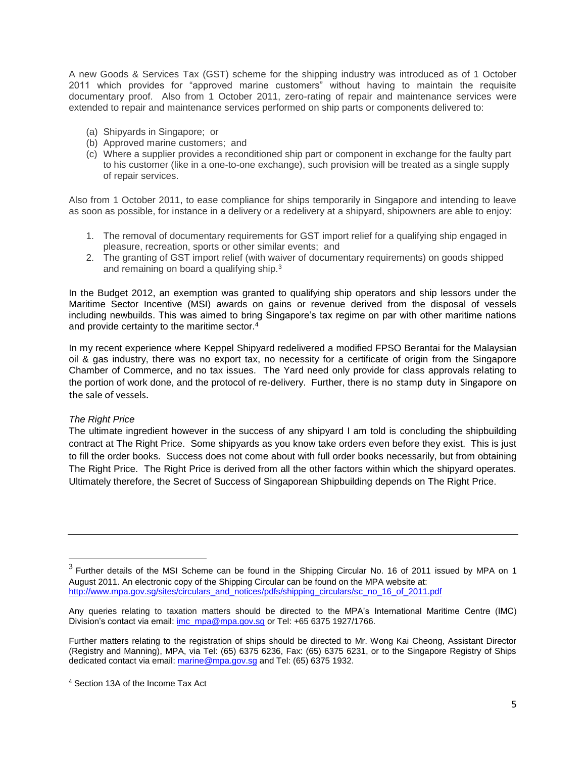A new Goods & Services Tax (GST) scheme for the shipping industry was introduced as of 1 October 2011 which provides for "approved marine customers" without having to maintain the requisite documentary proof. Also from 1 October 2011, zero-rating of repair and maintenance services were extended to repair and maintenance services performed on ship parts or components delivered to:

- (a) Shipyards in Singapore; or
- (b) Approved marine customers; and
- (c) Where a supplier provides a reconditioned ship part or component in exchange for the faulty part to his customer (like in a one-to-one exchange), such provision will be treated as a single supply of repair services.

Also from 1 October 2011, to ease compliance for ships temporarily in Singapore and intending to leave as soon as possible, for instance in a delivery or a redelivery at a shipyard, shipowners are able to enjoy:

- 1. The removal of documentary requirements for GST import relief for a qualifying ship engaged in pleasure, recreation, sports or other similar events; and
- 2. The granting of GST import relief (with waiver of documentary requirements) on goods shipped and remaining on board a qualifying ship.<sup>3</sup>

In the Budget 2012, an exemption was granted to qualifying ship operators and ship lessors under the Maritime Sector Incentive (MSI) awards on gains or revenue derived from the disposal of vessels including newbuilds. This was aimed to bring Singapore's tax regime on par with other maritime nations and provide certainty to the maritime sector.<sup>4</sup>

In my recent experience where Keppel Shipyard redelivered a modified FPSO Berantai for the Malaysian oil & gas industry, there was no export tax, no necessity for a certificate of origin from the Singapore Chamber of Commerce, and no tax issues. The Yard need only provide for class approvals relating to the portion of work done, and the protocol of re-delivery. Further, there is no stamp duty in Singapore on the sale of vessels.

#### *The Right Price*

 $\overline{\phantom{a}}$ 

The ultimate ingredient however in the success of any shipyard I am told is concluding the shipbuilding contract at The Right Price. Some shipyards as you know take orders even before they exist. This is just to fill the order books. Success does not come about with full order books necessarily, but from obtaining The Right Price. The Right Price is derived from all the other factors within which the shipyard operates. Ultimately therefore, the Secret of Success of Singaporean Shipbuilding depends on The Right Price.

 $3$  Further details of the MSI Scheme can be found in the Shipping Circular No. 16 of 2011 issued by MPA on 1 August 2011. An electronic copy of the Shipping Circular can be found on the MPA website at: [http://www.mpa.gov.sg/sites/circulars\\_and\\_notices/pdfs/shipping\\_circulars/sc\\_no\\_16\\_of\\_2011.pdf](http://www.mpa.gov.sg/sites/circulars_and_notices/pdfs/shipping_circulars/sc_no_16_of_2011.pdf)

Any queries relating to taxation matters should be directed to the MPA's International Maritime Centre (IMC) Division's contact via email[: imc\\_mpa@mpa.gov.sg](mailto:imc_mpa@mpa.gov.sg) or Tel: +65 6375 1927/1766.

Further matters relating to the registration of ships should be directed to Mr. Wong Kai Cheong, Assistant Director (Registry and Manning), MPA, via Tel: (65) 6375 6236, Fax: (65) 6375 6231, or to the Singapore Registry of Ships dedicated contact via email[: marine@mpa.gov.sg](mailto:marine@mpa.gov.sg) and Tel: (65) 6375 1932.

<sup>4</sup> Section 13A of the Income Tax Act